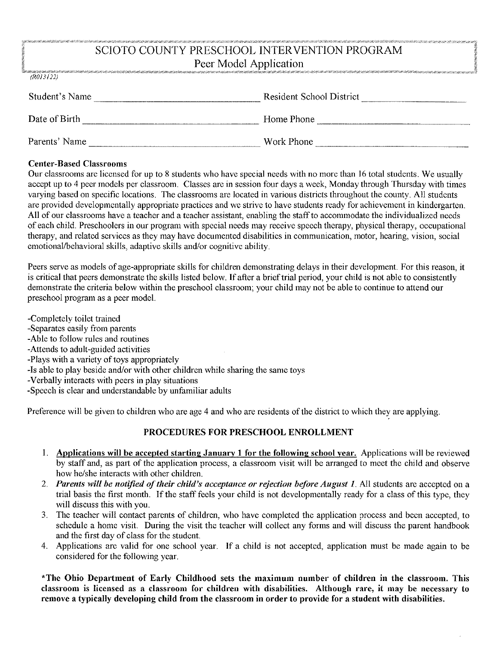### SCIOTO COUNTY PRESCHOOL INTERVENTION PROGRAM Peer Model Application

| (R013122)      |                                 |
|----------------|---------------------------------|
| Student's Name | <b>Resident School District</b> |
| Date of Birth  | Home Phone                      |
| Parents' Name  | Work Phone                      |

#### **Center-Based Classrooms**

Our classrooms are licensed for up to 8 students who have special needs with no more than 16 total students. We usually accept up to 4 peer models per classroom. Classes are in session four days a week, Monday through Thursday with times varying based on specific locations. The classrooms are located in various districts throughout the county. All students are provided developmentally appropriate practices and we strive to have students ready for achievement in kindergarten. All of our classrooms have a teacher and a teacher assistant, enabling the staff to accommodate the individualized needs of each child. Preschoolers in our program with special needs may receive speech therapy, physical therapy, occupational therapy, and related services as they may have documented disabilities in communication, motor, hearing, vision, social emotional/behavioral skills, adaptive skills and/or cognitive ability.

Peers serve as models of age-appropriate skills for children demonstrating delays in their development. For this reason, it is critical that peers demonstrate the skills listed below. If after a brief trial period, your child is not able to consistently demonstrate the criteria below within the preschool classroom; your child may not be able to continue to attend our preschool program as a peer model.

- -Completely toilet trained
- -Separates easily from parents
- -Able to follow rules and routines
- -Attends to adult-guided activities
- -Plays with a variety of toys appropriately
- -Is able to play beside and/or with other children while sharing the same toys
- -Verbally interacts with peers in play situations
- -Speech is clear and understandable by unfamiliar adults

Preference will be given to children who are age 4 and who are residents of the district to which they are applying.

#### PROCEDURES FOR PRESCHOOL ENROLLMENT

- 1. Applications will be accepted starting January 1 for the following school year. Applications will be reviewed by staff and, as part of the application process, a classroom visit will be arranged to meet the child and observe how he/she interacts with other children.
- 2. Parents will be notified of their child's acceptance or rejection before August 1. All students are accepted on a trial basis the first month. If the staff feels your child is not developmentally ready for a class of this type, they will discuss this with you.
- The teacher will contact parents of children, who have completed the application process and been accepted, to  $3.$ schedule a home visit. During the visit the teacher will collect any forms and will discuss the parent handbook and the first day of class for the student.
- 4. Applications are valid for one school year. If a child is not accepted, application must be made again to be considered for the following year.

\*The Ohio Department of Early Childhood sets the maximum number of children in the classroom. This classroom is licensed as a classroom for children with disabilities. Although rare, it may be necessary to remove a typically developing child from the classroom in order to provide for a student with disabilities.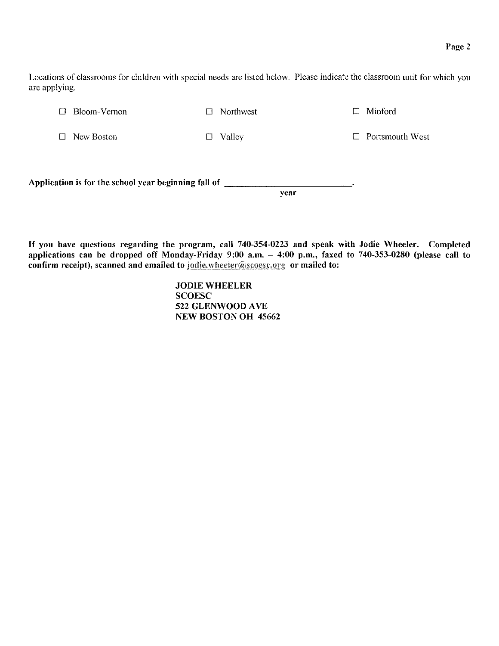Locations of classrooms for children with special needs are listed below. Please indicate the classroom unit for which you are applying.

 $\Box$  Bloom-Vernon

 $\Box$  Northwest

 $\Box$  Minford

□ New Boston

 $\Box$  Valley

 $\Box$  Portsmouth West

Application is for the school year beginning fall of \_\_\_\_\_\_\_\_\_ year

If you have questions regarding the program, call 740-354-0223 and speak with Jodie Wheeler. Completed applications can be dropped off Monday-Friday 9:00 a.m. - 4:00 p.m., faxed to 740-353-0280 (please call to confirm receipt), scanned and emailed to jodie.wheeler@scoesc.org or mailed to:

> **JODIE WHEELER SCOESC** 522 GLENWOOD AVE **NEW BOSTON OH 45662**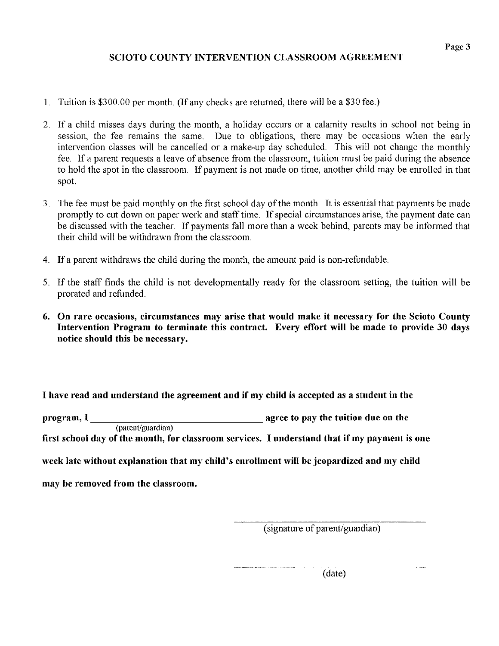#### SCIOTO COUNTY INTERVENTION CLASSROOM AGREEMENT

- 1. Tuition is \$300.00 per month. (If any checks are returned, there will be a \$30 fee.)
- If a child misses days during the month, a holiday occurs or a calamity results in school not being in session, the fee remains the same. Due to obligations, there may be occasions when the early intervention classes will be cancelled or a make-up day scheduled. This will not change the monthly fee. If a parent requests a leave of absence from the classroom, tuition must be paid during the absence to hold the spot in the classroom. If payment is not made on time, another child may be enrolled in that spot.
- 3. The fee must be paid monthly on the first school day of the month. It is essential that payments be made promptly to cut down on paper work and staff time. If special circumstances arise, the payment date can be discussed with the teacher. If payments fall more than a week behind, parents may be informed that their child will be withdrawn from the classroom.
- Ifa parent withdraws the child during the month, the amount paid is non-refundable.
- 5. If the staff finds the child is not developmentally ready for the classroom setting, the tuition will be prorated and refunded.
- 6. On rare occasions, circumstances may arise that would make it necessary for the Scioto County Intervention Program to terminate this contract. Every effort will be made to provide 30 days notice should this be necessâry.

I have read and understand the âgreement and if my child is accepted as a student in the

program, I  $\frac{1}{a}$  agree to pay the tuition due on the (parent/guardian

first school day of the month, for classroom services. I understand that if my payment is one

week late without explanation that my child's enrollment will be jeopardized and my child

may be removed from the classroom.

(signature of parent/guardian)

(date)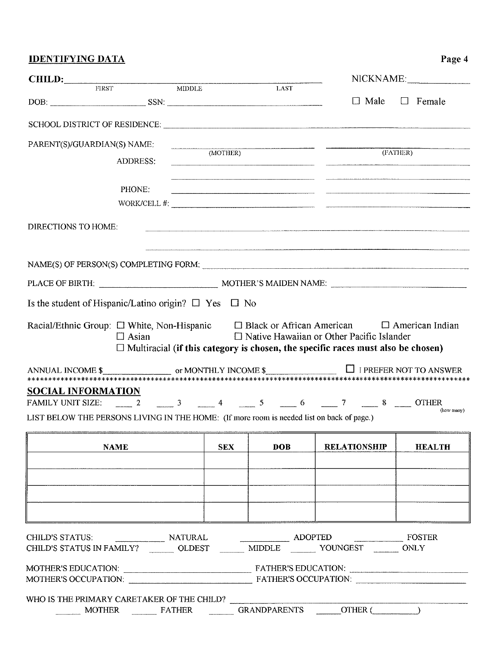# **IDENTIFYING DATA**

| <b>CHILD:</b> FIRST MIDDLE<br><b>LAST</b><br>$\Box$ Male<br>$\Box$ Female<br>$DSN:$<br>PARENT(S)/GUARDIAN(S) NAME:<br>(MOTHER)<br>(FATHER)<br><b>ADDRESS:</b><br>PHONE:<br>WORK/CELL $#$ : $\qquad \qquad$<br>DIRECTIONS TO HOME:<br>Is the student of Hispanic/Latino origin? $\Box$ Yes $\Box$ No<br>Racial/Ethnic Group: $\Box$ White, Non-Hispanic $\Box$ Black or African American $\Box$ American Indian<br>$\Box$ Native Hawaiian or Other Pacific Islander<br>$\Box$ Asian<br>$\Box$ Multiracial (if this category is chosen, the specific races must also be chosen)<br>ANNUAL INCOME $\frac{\sqrt{2}}{2}$ or MONTHLY INCOME $\frac{\sqrt{2}}{2}$ I PREFER NOT TO ANSWER<br><b>SOCIAL INFORMATION</b><br>FAMILY UNIT SIZE: $\frac{2}{1}$ $\frac{3}{1}$ $\frac{4}{1}$ $\frac{5}{1}$ $\frac{6}{1}$ $\frac{7}{1}$ $\frac{8}{1}$ OTHER<br>LIST BELOW THE PERSONS LIVING IN THE HOME: (If more room is needed list on back of page.)<br><b>SEX</b><br>DOB<br><b>NAME</b><br><b>RELATIONSHIP</b><br><b>HEALTH</b><br>CHILD'S STATUS: NATURAL ADOPTED FOSTER<br>CHILD'S STATUS IN FAMILY? ________ OLDEST ________ MIDDLE _______ YOUNGEST _______ ONLY<br>WHO IS THE PRIMARY CARETAKER OF THE CHILD? |  |  |  |  | NICKNAME:  |
|---------------------------------------------------------------------------------------------------------------------------------------------------------------------------------------------------------------------------------------------------------------------------------------------------------------------------------------------------------------------------------------------------------------------------------------------------------------------------------------------------------------------------------------------------------------------------------------------------------------------------------------------------------------------------------------------------------------------------------------------------------------------------------------------------------------------------------------------------------------------------------------------------------------------------------------------------------------------------------------------------------------------------------------------------------------------------------------------------------------------------------------------------------------------------------------------------------|--|--|--|--|------------|
|                                                                                                                                                                                                                                                                                                                                                                                                                                                                                                                                                                                                                                                                                                                                                                                                                                                                                                                                                                                                                                                                                                                                                                                                         |  |  |  |  |            |
|                                                                                                                                                                                                                                                                                                                                                                                                                                                                                                                                                                                                                                                                                                                                                                                                                                                                                                                                                                                                                                                                                                                                                                                                         |  |  |  |  |            |
|                                                                                                                                                                                                                                                                                                                                                                                                                                                                                                                                                                                                                                                                                                                                                                                                                                                                                                                                                                                                                                                                                                                                                                                                         |  |  |  |  |            |
|                                                                                                                                                                                                                                                                                                                                                                                                                                                                                                                                                                                                                                                                                                                                                                                                                                                                                                                                                                                                                                                                                                                                                                                                         |  |  |  |  |            |
|                                                                                                                                                                                                                                                                                                                                                                                                                                                                                                                                                                                                                                                                                                                                                                                                                                                                                                                                                                                                                                                                                                                                                                                                         |  |  |  |  |            |
|                                                                                                                                                                                                                                                                                                                                                                                                                                                                                                                                                                                                                                                                                                                                                                                                                                                                                                                                                                                                                                                                                                                                                                                                         |  |  |  |  |            |
|                                                                                                                                                                                                                                                                                                                                                                                                                                                                                                                                                                                                                                                                                                                                                                                                                                                                                                                                                                                                                                                                                                                                                                                                         |  |  |  |  |            |
|                                                                                                                                                                                                                                                                                                                                                                                                                                                                                                                                                                                                                                                                                                                                                                                                                                                                                                                                                                                                                                                                                                                                                                                                         |  |  |  |  |            |
|                                                                                                                                                                                                                                                                                                                                                                                                                                                                                                                                                                                                                                                                                                                                                                                                                                                                                                                                                                                                                                                                                                                                                                                                         |  |  |  |  |            |
|                                                                                                                                                                                                                                                                                                                                                                                                                                                                                                                                                                                                                                                                                                                                                                                                                                                                                                                                                                                                                                                                                                                                                                                                         |  |  |  |  |            |
|                                                                                                                                                                                                                                                                                                                                                                                                                                                                                                                                                                                                                                                                                                                                                                                                                                                                                                                                                                                                                                                                                                                                                                                                         |  |  |  |  |            |
|                                                                                                                                                                                                                                                                                                                                                                                                                                                                                                                                                                                                                                                                                                                                                                                                                                                                                                                                                                                                                                                                                                                                                                                                         |  |  |  |  |            |
|                                                                                                                                                                                                                                                                                                                                                                                                                                                                                                                                                                                                                                                                                                                                                                                                                                                                                                                                                                                                                                                                                                                                                                                                         |  |  |  |  |            |
|                                                                                                                                                                                                                                                                                                                                                                                                                                                                                                                                                                                                                                                                                                                                                                                                                                                                                                                                                                                                                                                                                                                                                                                                         |  |  |  |  |            |
|                                                                                                                                                                                                                                                                                                                                                                                                                                                                                                                                                                                                                                                                                                                                                                                                                                                                                                                                                                                                                                                                                                                                                                                                         |  |  |  |  |            |
|                                                                                                                                                                                                                                                                                                                                                                                                                                                                                                                                                                                                                                                                                                                                                                                                                                                                                                                                                                                                                                                                                                                                                                                                         |  |  |  |  |            |
|                                                                                                                                                                                                                                                                                                                                                                                                                                                                                                                                                                                                                                                                                                                                                                                                                                                                                                                                                                                                                                                                                                                                                                                                         |  |  |  |  |            |
|                                                                                                                                                                                                                                                                                                                                                                                                                                                                                                                                                                                                                                                                                                                                                                                                                                                                                                                                                                                                                                                                                                                                                                                                         |  |  |  |  | (how many) |
|                                                                                                                                                                                                                                                                                                                                                                                                                                                                                                                                                                                                                                                                                                                                                                                                                                                                                                                                                                                                                                                                                                                                                                                                         |  |  |  |  |            |
|                                                                                                                                                                                                                                                                                                                                                                                                                                                                                                                                                                                                                                                                                                                                                                                                                                                                                                                                                                                                                                                                                                                                                                                                         |  |  |  |  |            |
|                                                                                                                                                                                                                                                                                                                                                                                                                                                                                                                                                                                                                                                                                                                                                                                                                                                                                                                                                                                                                                                                                                                                                                                                         |  |  |  |  |            |
|                                                                                                                                                                                                                                                                                                                                                                                                                                                                                                                                                                                                                                                                                                                                                                                                                                                                                                                                                                                                                                                                                                                                                                                                         |  |  |  |  |            |
|                                                                                                                                                                                                                                                                                                                                                                                                                                                                                                                                                                                                                                                                                                                                                                                                                                                                                                                                                                                                                                                                                                                                                                                                         |  |  |  |  |            |
|                                                                                                                                                                                                                                                                                                                                                                                                                                                                                                                                                                                                                                                                                                                                                                                                                                                                                                                                                                                                                                                                                                                                                                                                         |  |  |  |  |            |
|                                                                                                                                                                                                                                                                                                                                                                                                                                                                                                                                                                                                                                                                                                                                                                                                                                                                                                                                                                                                                                                                                                                                                                                                         |  |  |  |  |            |
|                                                                                                                                                                                                                                                                                                                                                                                                                                                                                                                                                                                                                                                                                                                                                                                                                                                                                                                                                                                                                                                                                                                                                                                                         |  |  |  |  |            |
|                                                                                                                                                                                                                                                                                                                                                                                                                                                                                                                                                                                                                                                                                                                                                                                                                                                                                                                                                                                                                                                                                                                                                                                                         |  |  |  |  |            |
|                                                                                                                                                                                                                                                                                                                                                                                                                                                                                                                                                                                                                                                                                                                                                                                                                                                                                                                                                                                                                                                                                                                                                                                                         |  |  |  |  |            |
|                                                                                                                                                                                                                                                                                                                                                                                                                                                                                                                                                                                                                                                                                                                                                                                                                                                                                                                                                                                                                                                                                                                                                                                                         |  |  |  |  |            |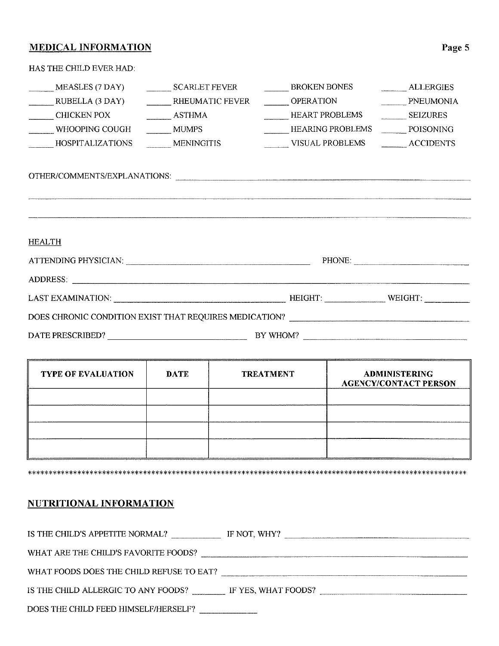# **MEDICAL INFORMATION**

| HAS THE CHILD EVER HAD. |                        |                                                   |                 |
|-------------------------|------------------------|---------------------------------------------------|-----------------|
| MEASLES (7 DAY)         | SCARLET FEVER          | BROKEN BONES                                      | ALLERGIES       |
| RUBELLA (3 DAY)         | <b>RHEUMATIC FEVER</b> | <b>OPERATION</b>                                  | PNEUMONIA       |
| CHICKEN POX             | <b>ASTHMA</b>          | <b>HEART PROBLEMS</b>                             | <b>SEIZURES</b> |
| WHOOPING COUGH          | <b>MUMPS</b>           | HEARING PROBLEMS ________ POISONING               |                 |
| HOSPITALIZATIONS        | <b>MENINGITIS</b>      | VISUAL PROBLEMS __________ ACCIDENTS              |                 |
|                         |                        | OTHER/COMMENTS/EXPLANATIONS:                      |                 |
|                         |                        |                                                   |                 |
| <b>HEALTH</b>           |                        |                                                   |                 |
|                         |                        |                                                   | PHONE:          |
|                         |                        |                                                   |                 |
|                         |                        | LAST EXAMINATION: WEIGHT: WEIGHT: WEIGHT: WEIGHT: |                 |
|                         |                        |                                                   |                 |
|                         |                        |                                                   |                 |

| <b>TYPE OF EVALUATION</b> | <b>DATE</b> | <b>TREATMENT</b> | <b>ADMINISTERING</b><br><b>AGENCY/CONTACT PERSON</b> |
|---------------------------|-------------|------------------|------------------------------------------------------|
|                           |             |                  |                                                      |
|                           |             |                  |                                                      |
|                           |             |                  |                                                      |

#### **NUTRITIONAL INFORMATION**

f

| IS THE CHILD'S APPETITE NORMAL?          | IF NOT, WHY?        |
|------------------------------------------|---------------------|
| WHAT ARE THE CHILD'S FAVORITE FOODS?     |                     |
| WHAT FOODS DOES THE CHILD REFUSE TO EAT? |                     |
| IS THE CHILD ALLERGIC TO ANY FOODS?      | IF YES, WHAT FOODS? |
| DOES THE CHILD FEED HIMSELF/HERSELF?     |                     |